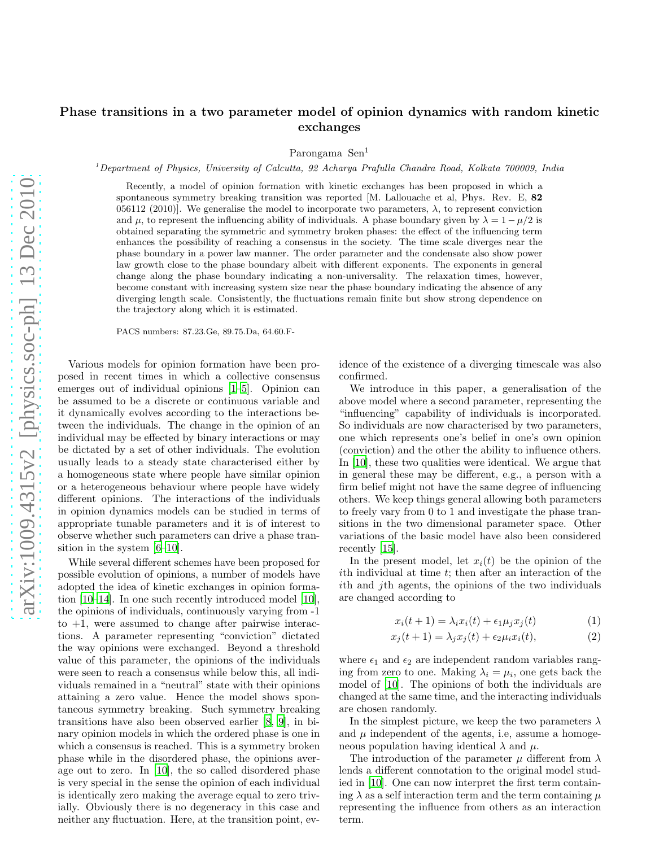## Phase transitions in a two parameter model of opinion dynamics with random kinetic exchanges

Parongama Sen<sup>1</sup>

<sup>1</sup> Department of Physics, University of Calcutta, 92 Acharya Prafulla Chandra Road, Kolkata 700009, India

Recently, a model of opinion formation with kinetic exchanges has been proposed in which a spontaneous symmetry breaking transition was reported [M. Lallouache et al, Phys. Rev. E, 82 056112 (2010). We generalise the model to incorporate two parameters,  $\lambda$ , to represent conviction and  $\mu$ , to represent the influencing ability of individuals. A phase boundary given by  $\lambda = 1 - \mu/2$  is obtained separating the symmetric and symmetry broken phases: the effect of the influencing term enhances the possibility of reaching a consensus in the society. The time scale diverges near the phase boundary in a power law manner. The order parameter and the condensate also show power law growth close to the phase boundary albeit with different exponents. The exponents in general change along the phase boundary indicating a non-universality. The relaxation times, however, become constant with increasing system size near the phase boundary indicating the absence of any diverging length scale. Consistently, the fluctuations remain finite but show strong dependence on the trajectory along which it is estimated.

PACS numbers: 87.23.Ge, 89.75.Da, 64.60.F-

Various models for opinion formation have been proposed in recent times in which a collective consensus emerges out of individual opinions [\[1](#page-5-0)[–5\]](#page-5-1). Opinion can be assumed to be a discrete or continuous variable and it dynamically evolves according to the interactions between the individuals. The change in the opinion of an individual may be effected by binary interactions or may be dictated by a set of other individuals. The evolution usually leads to a steady state characterised either by a homogeneous state where people have similar opinion or a heterogeneous behaviour where people have widely different opinions. The interactions of the individuals in opinion dynamics models can be studied in terms of appropriate tunable parameters and it is of interest to observe whether such parameters can drive a phase transition in the system [\[6](#page-5-2)[–10\]](#page-5-3).

While several different schemes have been proposed for possible evolution of opinions, a number of models have adopted the idea of kinetic exchanges in opinion formation [\[10](#page-5-3)[–14\]](#page-5-4). In one such recently introduced model [\[10\]](#page-5-3), the opinions of individuals, continuously varying from -1 to  $+1$ , were assumed to change after pairwise interactions. A parameter representing "conviction" dictated the way opinions were exchanged. Beyond a threshold value of this parameter, the opinions of the individuals were seen to reach a consensus while below this, all individuals remained in a "neutral" state with their opinions attaining a zero value. Hence the model shows spontaneous symmetry breaking. Such symmetry breaking transitions have also been observed earlier [\[8,](#page-5-5) [9](#page-5-6)], in binary opinion models in which the ordered phase is one in which a consensus is reached. This is a symmetry broken phase while in the disordered phase, the opinions average out to zero. In [\[10](#page-5-3)], the so called disordered phase is very special in the sense the opinion of each individual is identically zero making the average equal to zero trivially. Obviously there is no degeneracy in this case and neither any fluctuation. Here, at the transition point, ev-

idence of the existence of a diverging timescale was also confirmed.

We introduce in this paper, a generalisation of the above model where a second parameter, representing the "influencing" capability of individuals is incorporated. So individuals are now characterised by two parameters, one which represents one's belief in one's own opinion (conviction) and the other the ability to influence others. In [\[10\]](#page-5-3), these two qualities were identical. We argue that in general these may be different, e.g., a person with a firm belief might not have the same degree of influencing others. We keep things general allowing both parameters to freely vary from 0 to 1 and investigate the phase transitions in the two dimensional parameter space. Other variations of the basic model have also been considered recently [\[15\]](#page-5-7).

In the present model, let  $x_i(t)$  be the opinion of the ith individual at time t; then after an interaction of the ith and jth agents, the opinions of the two individuals are changed according to

$$
x_i(t+1) = \lambda_i x_i(t) + \epsilon_1 \mu_j x_j(t) \tag{1}
$$

$$
x_j(t+1) = \lambda_j x_j(t) + \epsilon_2 \mu_i x_i(t), \qquad (2)
$$

where  $\epsilon_1$  and  $\epsilon_2$  are independent random variables ranging from zero to one. Making  $\lambda_i = \mu_i$ , one gets back the model of [\[10\]](#page-5-3). The opinions of both the individuals are changed at the same time, and the interacting individuals are chosen randomly.

In the simplest picture, we keep the two parameters  $\lambda$ and  $\mu$  independent of the agents, i.e, assume a homogeneous population having identical  $\lambda$  and  $\mu$ .

The introduction of the parameter  $\mu$  different from  $\lambda$ lends a different connotation to the original model studied in [\[10\]](#page-5-3). One can now interpret the first term containing  $\lambda$  as a self interaction term and the term containing  $\mu$ representing the influence from others as an interaction term.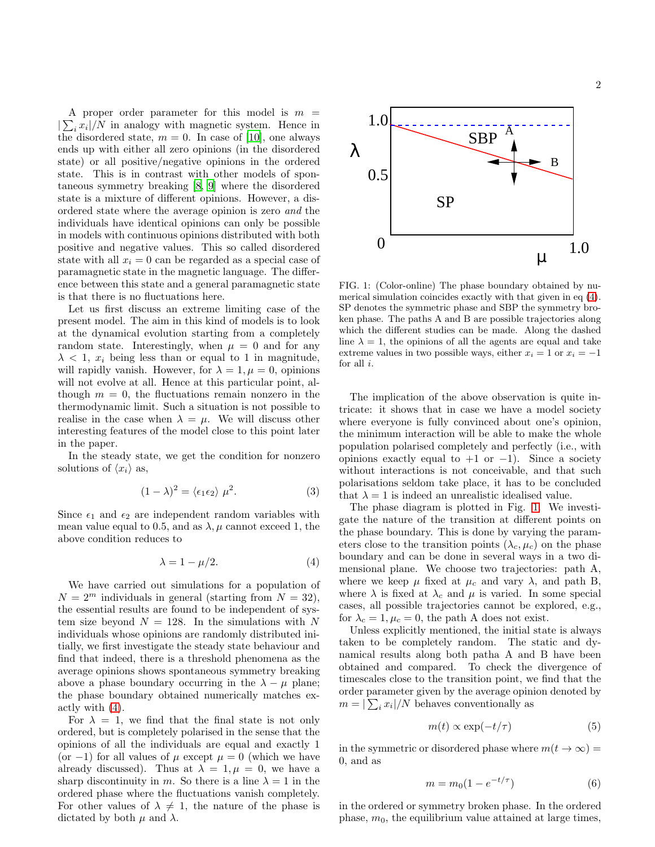A proper order parameter for this model is  $m =$  $|\sum_i x_i|/N$  in analogy with magnetic system. Hence in the disordered state,  $m = 0$ . In case of [\[10\]](#page-5-3), one always ends up with either all zero opinions (in the disordered state) or all positive/negative opinions in the ordered state. This is in contrast with other models of spontaneous symmetry breaking [\[8,](#page-5-5) [9\]](#page-5-6) where the disordered state is a mixture of different opinions. However, a disordered state where the average opinion is zero and the individuals have identical opinions can only be possible in models with continuous opinions distributed with both positive and negative values. This so called disordered state with all  $x_i = 0$  can be regarded as a special case of paramagnetic state in the magnetic language. The difference between this state and a general paramagnetic state is that there is no fluctuations here.

Let us first discuss an extreme limiting case of the present model. The aim in this kind of models is to look at the dynamical evolution starting from a completely random state. Interestingly, when  $\mu = 0$  and for any  $\lambda$  < 1,  $x_i$  being less than or equal to 1 in magnitude, will rapidly vanish. However, for  $\lambda = 1, \mu = 0$ , opinions will not evolve at all. Hence at this particular point, although  $m = 0$ , the fluctuations remain nonzero in the thermodynamic limit. Such a situation is not possible to realise in the case when  $\lambda = \mu$ . We will discuss other interesting features of the model close to this point later in the paper.

In the steady state, we get the condition for nonzero solutions of  $\langle x_i \rangle$  as,

$$
(1 - \lambda)^2 = \langle \epsilon_1 \epsilon_2 \rangle \mu^2. \tag{3}
$$

Since  $\epsilon_1$  and  $\epsilon_2$  are independent random variables with mean value equal to 0.5, and as  $\lambda$ ,  $\mu$  cannot exceed 1, the above condition reduces to

<span id="page-1-0"></span>
$$
\lambda = 1 - \mu/2. \tag{4}
$$

We have carried out simulations for a population of  $N = 2^m$  individuals in general (starting from  $N = 32$ ), the essential results are found to be independent of system size beyond  $N = 128$ . In the simulations with N individuals whose opinions are randomly distributed initially, we first investigate the steady state behaviour and find that indeed, there is a threshold phenomena as the average opinions shows spontaneous symmetry breaking above a phase boundary occurring in the  $\lambda - \mu$  plane; the phase boundary obtained numerically matches exactly with [\(4\)](#page-1-0).

For  $\lambda = 1$ , we find that the final state is not only ordered, but is completely polarised in the sense that the opinions of all the individuals are equal and exactly 1 (or −1) for all values of  $\mu$  except  $\mu = 0$  (which we have already discussed). Thus at  $\lambda = 1, \mu = 0$ , we have a sharp discontinuity in m. So there is a line  $\lambda = 1$  in the ordered phase where the fluctuations vanish completely. For other values of  $\lambda \neq 1$ , the nature of the phase is dictated by both  $\mu$  and  $\lambda$ .



<span id="page-1-1"></span>FIG. 1: (Color-online) The phase boundary obtained by numerical simulation coincides exactly with that given in eq [\(4\)](#page-1-0). SP denotes the symmetric phase and SBP the symmetry broken phase. The paths A and B are possible trajectories along which the different studies can be made. Along the dashed line  $\lambda = 1$ , the opinions of all the agents are equal and take extreme values in two possible ways, either  $x_i = 1$  or  $x_i = -1$ for all  $i$ .

The implication of the above observation is quite intricate: it shows that in case we have a model society where everyone is fully convinced about one's opinion, the minimum interaction will be able to make the whole population polarised completely and perfectly (i.e., with opinions exactly equal to  $+1$  or  $-1$ ). Since a society without interactions is not conceivable, and that such polarisations seldom take place, it has to be concluded that  $\lambda = 1$  is indeed an unrealistic idealised value.

The phase diagram is plotted in Fig. [1.](#page-1-1) We investigate the nature of the transition at different points on the phase boundary. This is done by varying the parameters close to the transition points  $(\lambda_c, \mu_c)$  on the phase boundary and can be done in several ways in a two dimensional plane. We choose two trajectories: path A, where we keep  $\mu$  fixed at  $\mu_c$  and vary  $\lambda$ , and path B, where  $\lambda$  is fixed at  $\lambda_c$  and  $\mu$  is varied. In some special cases, all possible trajectories cannot be explored, e.g., for  $\lambda_c = 1, \mu_c = 0$ , the path A does not exist.

Unless explicitly mentioned, the initial state is always taken to be completely random. The static and dynamical results along both patha A and B have been obtained and compared. To check the divergence of timescales close to the transition point, we find that the order parameter given by the average opinion denoted by  $m = |\sum_i x_i|/N$  behaves conventionally as

$$
m(t) \propto \exp(-t/\tau) \tag{5}
$$

in the symmetric or disordered phase where  $m(t \to \infty)$  = 0, and as

$$
m = m_0 (1 - e^{-t/\tau})
$$
 (6)

in the ordered or symmetry broken phase. In the ordered phase,  $m_0$ , the equilibrium value attained at large times,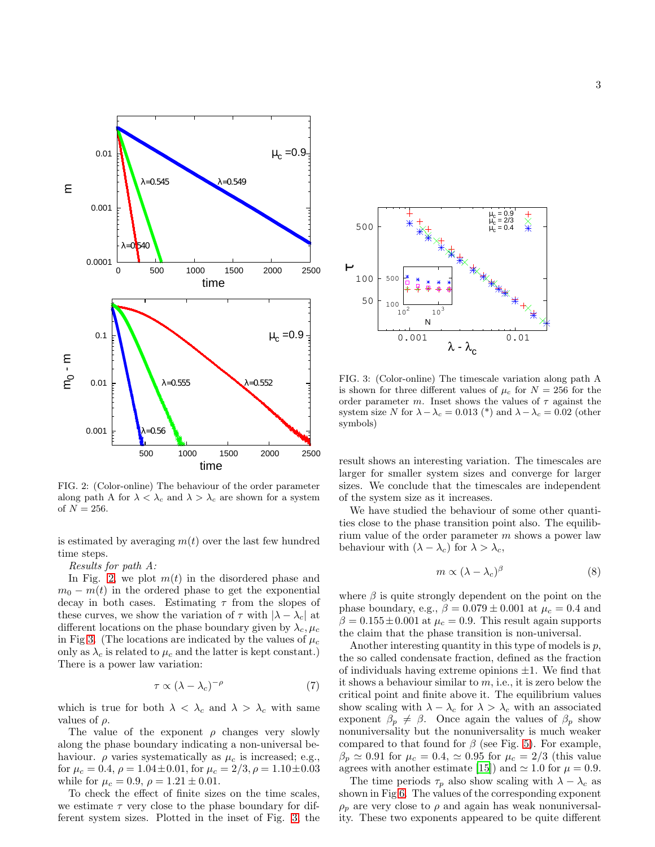

<span id="page-2-0"></span>FIG. 2: (Color-online) The behaviour of the order parameter along path A for  $\lambda < \lambda_c$  and  $\lambda > \lambda_c$  are shown for a system of  $N = 256$ .

is estimated by averaging  $m(t)$  over the last few hundred time steps.

Results for path A:

In Fig. [2,](#page-2-0) we plot  $m(t)$  in the disordered phase and  $m_0 - m(t)$  in the ordered phase to get the exponential decay in both cases. Estimating  $\tau$  from the slopes of these curves, we show the variation of  $\tau$  with  $|\lambda - \lambda_c|$  at different locations on the phase boundary given by  $\lambda_c, \mu_c$ in Fig [3.](#page-2-1) (The locations are indicated by the values of  $\mu_c$ only as  $\lambda_c$  is related to  $\mu_c$  and the latter is kept constant.) There is a power law variation:

$$
\tau \propto (\lambda - \lambda_c)^{-\rho} \tag{7}
$$

which is true for both  $\lambda < \lambda_c$  and  $\lambda > \lambda_c$  with same values of  $\rho$ .

The value of the exponent  $\rho$  changes very slowly along the phase boundary indicating a non-universal behaviour.  $\rho$  varies systematically as  $\mu_c$  is increased; e.g., for  $\mu_c = 0.4$ ,  $\rho = 1.04 \pm 0.01$ , for  $\mu_c = 2/3$ ,  $\rho = 1.10 \pm 0.03$ while for  $\mu_c = 0.9$ ,  $\rho = 1.21 \pm 0.01$ .

To check the effect of finite sizes on the time scales, we estimate  $\tau$  very close to the phase boundary for different system sizes. Plotted in the inset of Fig. [3,](#page-2-1) the



<span id="page-2-1"></span>FIG. 3: (Color-online) The timescale variation along path A is shown for three different values of  $\mu_c$  for  $N = 256$  for the order parameter m. Inset shows the values of  $\tau$  against the system size N for  $\lambda - \lambda_c = 0.013$  (\*) and  $\lambda - \lambda_c = 0.02$  (other symbols)

result shows an interesting variation. The timescales are larger for smaller system sizes and converge for larger sizes. We conclude that the timescales are independent of the system size as it increases.

We have studied the behaviour of some other quantities close to the phase transition point also. The equilibrium value of the order parameter  $m$  shows a power law behaviour with  $(\lambda - \lambda_c)$  for  $\lambda > \lambda_c$ ,

$$
m \propto (\lambda - \lambda_c)^{\beta} \tag{8}
$$

where  $\beta$  is quite strongly dependent on the point on the phase boundary, e.g.,  $\beta = 0.079 \pm 0.001$  at  $\mu_c = 0.4$  and  $\beta = 0.155 \pm 0.001$  at  $\mu_c = 0.9$ . This result again supports the claim that the phase transition is non-universal.

Another interesting quantity in this type of models is  $p$ , the so called condensate fraction, defined as the fraction of individuals having extreme opinions  $\pm 1$ . We find that it shows a behaviour similar to  $m$ , i.e., it is zero below the critical point and finite above it. The equilibrium values show scaling with  $\lambda - \lambda_c$  for  $\lambda > \lambda_c$  with an associated exponent  $\beta_p \neq \beta$ . Once again the values of  $\beta_p$  show nonuniversality but the nonuniversality is much weaker compared to that found for  $\beta$  (see Fig. [5\)](#page-3-0). For example,  $\beta_p \simeq 0.91$  for  $\mu_c = 0.4$ ,  $\simeq 0.95$  for  $\mu_c = 2/3$  (this value agrees with another estimate [\[15\]](#page-5-7)) and  $\simeq 1.0$  for  $\mu = 0.9$ .

The time periods  $\tau_p$  also show scaling with  $\lambda - \lambda_c$  as shown in Fig [6.](#page-3-1) The values of the corresponding exponent  $\rho_p$  are very close to  $\rho$  and again has weak nonuniversality. These two exponents appeared to be quite different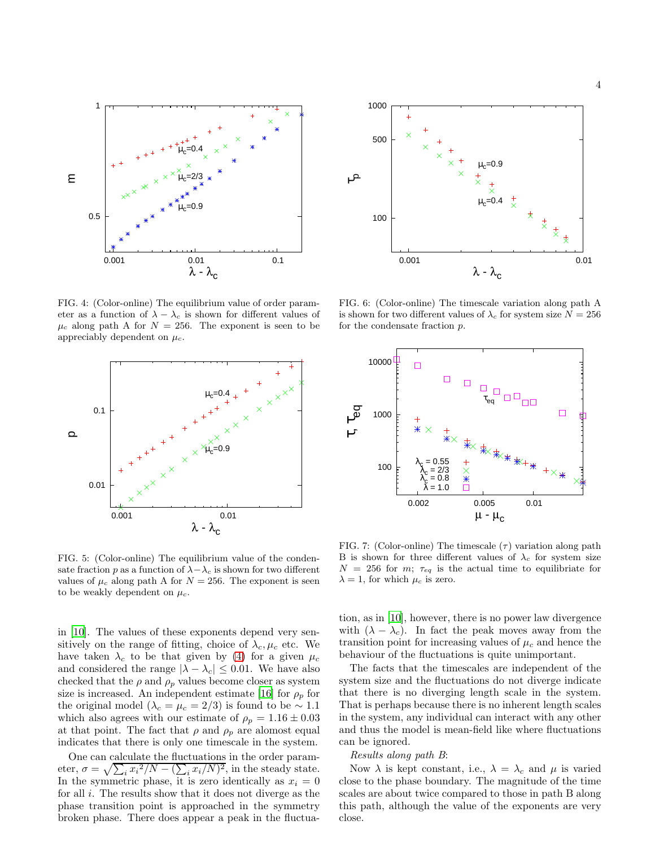

FIG. 4: (Color-online) The equilibrium value of order parameter as a function of  $\lambda - \lambda_c$  is shown for different values of  $\mu_c$  along path A for  $N = 256$ . The exponent is seen to be appreciably dependent on  $\mu_c$ .



<span id="page-3-0"></span>FIG. 5: (Color-online) The equilibrium value of the condensate fraction p as a function of  $\lambda - \lambda_c$  is shown for two different values of  $\mu_c$  along path A for  $N = 256$ . The exponent is seen to be weakly dependent on  $\mu_c$ .

in [\[10\]](#page-5-3). The values of these exponents depend very sensitively on the range of fitting, choice of  $\lambda_c, \mu_c$  etc. We have taken  $\lambda_c$  to be that given by [\(4\)](#page-1-0) for a given  $\mu_c$ and considered the range  $|\lambda - \lambda_c| \leq 0.01$ . We have also checked that the  $\rho$  and  $\rho_p$  values become closer as system size is increased. An independent estimate [\[16\]](#page-5-8) for  $\rho_p$  for the original model ( $\lambda_c = \mu_c = 2/3$ ) is found to be ~ 1.1 which also agrees with our estimate of  $\rho_p = 1.16 \pm 0.03$ at that point. The fact that  $\rho$  and  $\rho_p$  are alomost equal indicates that there is only one timescale in the system.

One can calculate the fluctuations in the order parameter,  $\sigma = \sqrt{\sum_i x_i^2/N - (\sum_i x_i/N)^2}$ , in the steady state. In the symmetric phase, it is zero identically as  $x_i = 0$ for all i. The results show that it does not diverge as the phase transition point is approached in the symmetry broken phase. There does appear a peak in the fluctua-



<span id="page-3-1"></span>FIG. 6: (Color-online) The timescale variation along path A is shown for two different values of  $\lambda_c$  for system size  $N = 256$ for the condensate fraction p.



<span id="page-3-2"></span>FIG. 7: (Color-online) The timescale  $(\tau)$  variation along path B is shown for three different values of  $\lambda_c$  for system size  $N = 256$  for m;  $\tau_{eq}$  is the actual time to equilibriate for  $\lambda = 1$ , for which  $\mu_c$  is zero.

tion, as in [\[10\]](#page-5-3), however, there is no power law divergence with  $(\lambda - \lambda_c)$ . In fact the peak moves away from the transition point for increasing values of  $\mu_c$  and hence the behaviour of the fluctuations is quite unimportant.

The facts that the timescales are independent of the system size and the fluctuations do not diverge indicate that there is no diverging length scale in the system. That is perhaps because there is no inherent length scales in the system, any individual can interact with any other and thus the model is mean-field like where fluctuations can be ignored.

## Results along path B:

Now  $\lambda$  is kept constant, i.e.,  $\lambda = \lambda_c$  and  $\mu$  is varied close to the phase boundary. The magnitude of the time scales are about twice compared to those in path B along this path, although the value of the exponents are very close.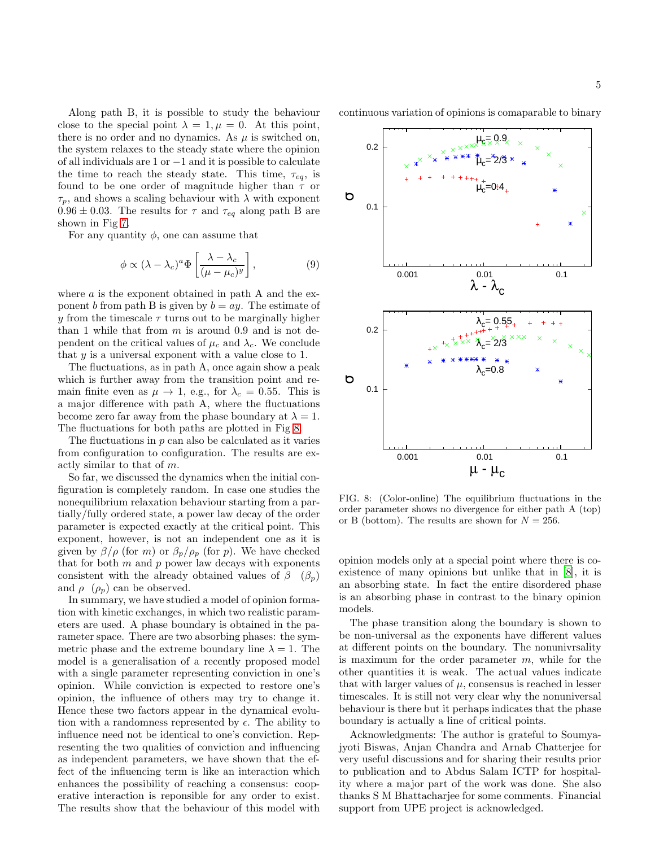Along path B, it is possible to study the behaviour close to the special point  $\lambda = 1, \mu = 0$ . At this point, there is no order and no dynamics. As  $\mu$  is switched on, the system relaxes to the steady state where the opinion of all individuals are 1 or −1 and it is possible to calculate the time to reach the steady state. This time,  $\tau_{eq}$ , is found to be one order of magnitude higher than  $\tau$  or  $\tau_p$ , and shows a scaling behaviour with  $\lambda$  with exponent  $0.96 \pm 0.03$ . The results for  $\tau$  and  $\tau_{eq}$  along path B are shown in Fig [7.](#page-3-2)

For any quantity  $\phi$ , one can assume that

$$
\phi \propto (\lambda - \lambda_c)^a \Phi \left[ \frac{\lambda - \lambda_c}{(\mu - \mu_c)^y} \right],\tag{9}
$$

where  $a$  is the exponent obtained in path A and the exponent b from path B is given by  $b = ay$ . The estimate of y from the timescale  $\tau$  turns out to be marginally higher than 1 while that from  $m$  is around 0.9 and is not dependent on the critical values of  $\mu_c$  and  $\lambda_c$ . We conclude that  $y$  is a universal exponent with a value close to 1.

The fluctuations, as in path A, once again show a peak which is further away from the transition point and remain finite even as  $\mu \to 1$ , e.g., for  $\lambda_c = 0.55$ . This is a major difference with path A, where the fluctuations become zero far away from the phase boundary at  $\lambda = 1$ . The fluctuations for both paths are plotted in Fig [8.](#page-4-0)

The fluctuations in  $p$  can also be calculated as it varies from configuration to configuration. The results are exactly similar to that of m.

So far, we discussed the dynamics when the initial configuration is completely random. In case one studies the nonequilibrium relaxation behaviour starting from a partially/fully ordered state, a power law decay of the order parameter is expected exactly at the critical point. This exponent, however, is not an independent one as it is given by  $\beta/\rho$  (for m) or  $\beta_p/\rho_p$  (for p). We have checked that for both  $m$  and  $p$  power law decays with exponents consistent with the already obtained values of  $\beta$  ( $\beta_p$ ) and  $\rho$  ( $\rho_p$ ) can be observed.

In summary, we have studied a model of opinion formation with kinetic exchanges, in which two realistic parameters are used. A phase boundary is obtained in the parameter space. There are two absorbing phases: the symmetric phase and the extreme boundary line  $\lambda = 1$ . The model is a generalisation of a recently proposed model with a single parameter representing conviction in one's opinion. While conviction is expected to restore one's opinion, the influence of others may try to change it. Hence these two factors appear in the dynamical evolution with a randomness represented by  $\epsilon$ . The ability to influence need not be identical to one's conviction. Representing the two qualities of conviction and influencing as independent parameters, we have shown that the effect of the influencing term is like an interaction which enhances the possibility of reaching a consensus: cooperative interaction is reponsible for any order to exist. The results show that the behaviour of this model with

continuous variation of opinions is comaparable to binary



<span id="page-4-0"></span>FIG. 8: (Color-online) The equilibrium fluctuations in the order parameter shows no divergence for either path A (top) or B (bottom). The results are shown for  $N = 256$ .

opinion models only at a special point where there is coexistence of many opinions but unlike that in [\[8](#page-5-5)], it is an absorbing state. In fact the entire disordered phase is an absorbing phase in contrast to the binary opinion models.

The phase transition along the boundary is shown to be non-universal as the exponents have different values at different points on the boundary. The nonunivrsality is maximum for the order parameter  $m$ , while for the other quantities it is weak. The actual values indicate that with larger values of  $\mu$ , consensus is reached in lesser timescales. It is still not very clear why the nonuniversal behaviour is there but it perhaps indicates that the phase boundary is actually a line of critical points.

Acknowledgments: The author is grateful to Soumyajyoti Biswas, Anjan Chandra and Arnab Chatterjee for very useful discussions and for sharing their results prior to publication and to Abdus Salam ICTP for hospitality where a major part of the work was done. She also thanks S M Bhattacharjee for some comments. Financial support from UPE project is acknowledged.